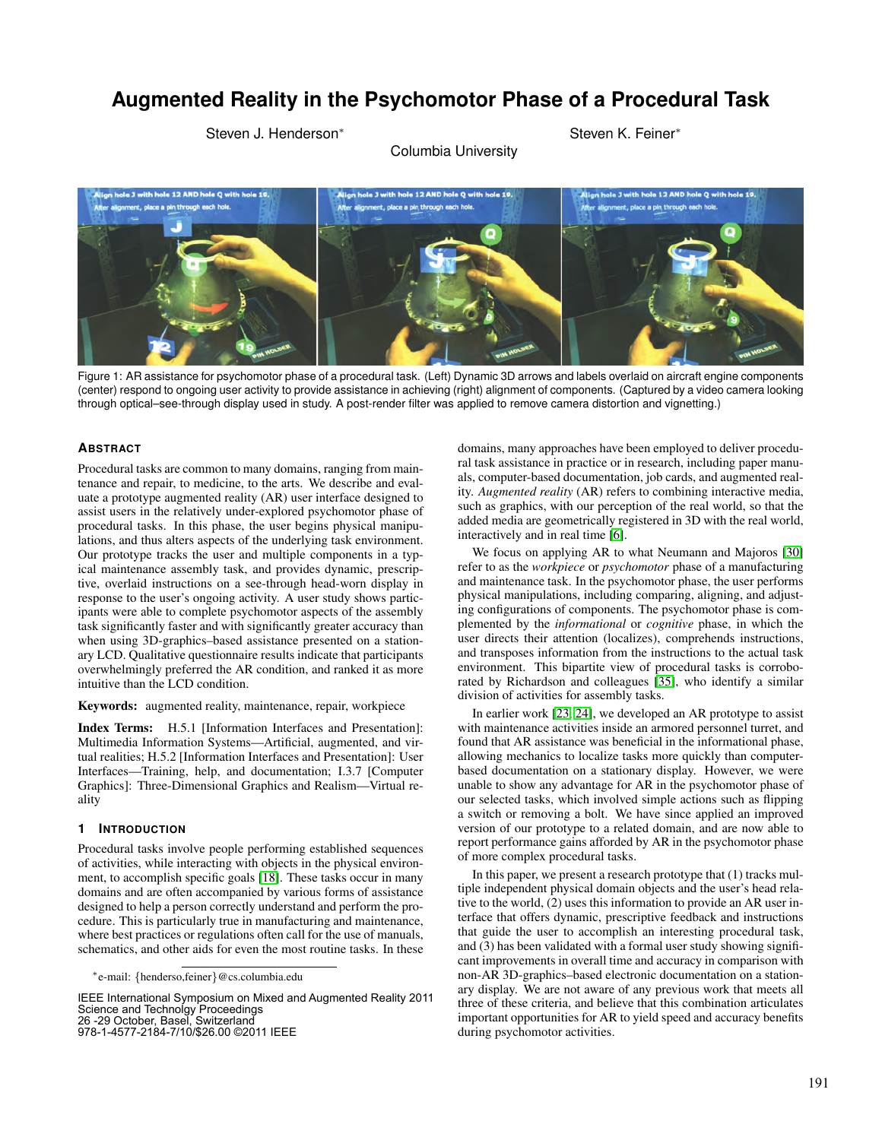# **Augmented Reality in the Psychomotor Phase of a Procedural Task**

Steven J. Henderson<sup>∗</sup>

Columbia University

Steven K. Feiner<sup>∗</sup>



<span id="page-0-0"></span>Figure 1: AR assistance for psychomotor phase of a procedural task. (Left) Dynamic 3D arrows and labels overlaid on aircraft engine components (center) respond to ongoing user activity to provide assistance in achieving (right) alignment of components. (Captured by a video camera looking through optical–see-through display used in study. A post-render filter was applied to remove camera distortion and vignetting.)

# **ABSTRACT**

Procedural tasks are common to many domains, ranging from maintenance and repair, to medicine, to the arts. We describe and evaluate a prototype augmented reality (AR) user interface designed to assist users in the relatively under-explored psychomotor phase of procedural tasks. In this phase, the user begins physical manipulations, and thus alters aspects of the underlying task environment. Our prototype tracks the user and multiple components in a typical maintenance assembly task, and provides dynamic, prescriptive, overlaid instructions on a see-through head-worn display in response to the user's ongoing activity. A user study shows participants were able to complete psychomotor aspects of the assembly task significantly faster and with significantly greater accuracy than when using 3D-graphics–based assistance presented on a stationary LCD. Qualitative questionnaire results indicate that participants overwhelmingly preferred the AR condition, and ranked it as more intuitive than the LCD condition.

Keywords: augmented reality, maintenance, repair, workpiece

Index Terms: H.5.1 [Information Interfaces and Presentation]: Multimedia Information Systems—Artificial, augmented, and virtual realities; H.5.2 [Information Interfaces and Presentation]: User Interfaces—Training, help, and documentation; I.3.7 [Computer Graphics]: Three-Dimensional Graphics and Realism—Virtual reality

## **1 INTRODUCTION**

Procedural tasks involve people performing established sequences of activities, while interacting with objects in the physical environment, to accomplish specific goals [\[18\]](#page-9-0). These tasks occur in many domains and are often accompanied by various forms of assistance designed to help a person correctly understand and perform the procedure. This is particularly true in manufacturing and maintenance, where best practices or regulations often call for the use of manuals, schematics, and other aids for even the most routine tasks. In these

IEEE International Symposium on Mixed and Augmented Reality 2011 Science and Technolgy Proceedings 26 -29 October, Basel, Switzerland 978-1-4577-2184-7/10/\$26.00 ©2011 IEEE

domains, many approaches have been employed to deliver procedural task assistance in practice or in research, including paper manuals, computer-based documentation, job cards, and augmented reality. *Augmented reality* (AR) refers to combining interactive media, such as graphics, with our perception of the real world, so that the added media are geometrically registered in 3D with the real world, interactively and in real time [\[6\]](#page-9-1).

We focus on applying AR to what Neumann and Majoros [\[30\]](#page-9-2) refer to as the *workpiece* or *psychomotor* phase of a manufacturing and maintenance task. In the psychomotor phase, the user performs physical manipulations, including comparing, aligning, and adjusting configurations of components. The psychomotor phase is complemented by the *informational* or *cognitive* phase, in which the user directs their attention (localizes), comprehends instructions, and transposes information from the instructions to the actual task environment. This bipartite view of procedural tasks is corroborated by Richardson and colleagues [\[35\]](#page-9-3), who identify a similar division of activities for assembly tasks.

In earlier work [\[23,](#page-9-4) [24\]](#page-9-5), we developed an AR prototype to assist with maintenance activities inside an armored personnel turret, and found that AR assistance was beneficial in the informational phase, allowing mechanics to localize tasks more quickly than computerbased documentation on a stationary display. However, we were unable to show any advantage for AR in the psychomotor phase of our selected tasks, which involved simple actions such as flipping a switch or removing a bolt. We have since applied an improved version of our prototype to a related domain, and are now able to report performance gains afforded by AR in the psychomotor phase of more complex procedural tasks.

In this paper, we present a research prototype that (1) tracks multiple independent physical domain objects and the user's head relative to the world, (2) uses this information to provide an AR user interface that offers dynamic, prescriptive feedback and instructions that guide the user to accomplish an interesting procedural task, and (3) has been validated with a formal user study showing significant improvements in overall time and accuracy in comparison with non-AR 3D-graphics–based electronic documentation on a stationary display. We are not aware of any previous work that meets all three of these criteria, and believe that this combination articulates important opportunities for AR to yield speed and accuracy benefits during psychomotor activities.

<sup>∗</sup> e-mail: {henderso,feiner}@cs.columbia.edu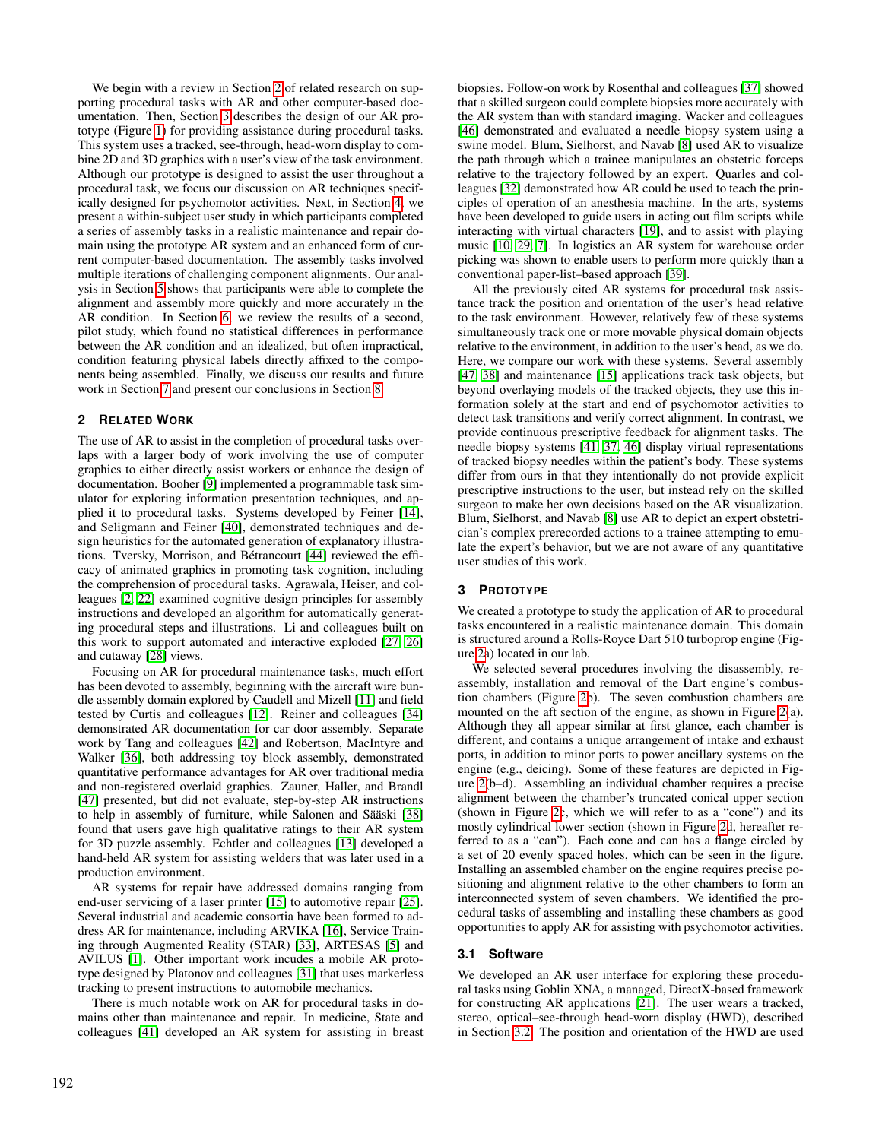We begin with a review in Section [2](#page-1-0) of related research on supporting procedural tasks with AR and other computer-based documentation. Then, Section [3](#page-1-1) describes the design of our AR prototype (Figure [1\)](#page-0-0) for providing assistance during procedural tasks. This system uses a tracked, see-through, head-worn display to combine 2D and 3D graphics with a user's view of the task environment. Although our prototype is designed to assist the user throughout a procedural task, we focus our discussion on AR techniques specifically designed for psychomotor activities. Next, in Section [4,](#page-3-0) we present a within-subject user study in which participants completed a series of assembly tasks in a realistic maintenance and repair domain using the prototype AR system and an enhanced form of current computer-based documentation. The assembly tasks involved multiple iterations of challenging component alignments. Our analysis in Section [5](#page-6-0) shows that participants were able to complete the alignment and assembly more quickly and more accurately in the AR condition. In Section [6,](#page-7-0) we review the results of a second, pilot study, which found no statistical differences in performance between the AR condition and an idealized, but often impractical, condition featuring physical labels directly affixed to the components being assembled. Finally, we discuss our results and future work in Section [7](#page-8-0) and present our conclusions in Section [8.](#page-8-1)

# <span id="page-1-0"></span>**2 RELATED WORK**

The use of AR to assist in the completion of procedural tasks overlaps with a larger body of work involving the use of computer graphics to either directly assist workers or enhance the design of documentation. Booher [\[9\]](#page-9-6) implemented a programmable task simulator for exploring information presentation techniques, and applied it to procedural tasks. Systems developed by Feiner [\[14\]](#page-9-7), and Seligmann and Feiner [\[40\]](#page-9-8), demonstrated techniques and design heuristics for the automated generation of explanatory illustra-tions. Tversky, Morrison, and Bétrancourt [\[44\]](#page-9-9) reviewed the efficacy of animated graphics in promoting task cognition, including the comprehension of procedural tasks. Agrawala, Heiser, and colleagues [\[2,](#page-8-2) [22\]](#page-9-10) examined cognitive design principles for assembly instructions and developed an algorithm for automatically generating procedural steps and illustrations. Li and colleagues built on this work to support automated and interactive exploded [\[27,](#page-9-11) [26\]](#page-9-12) and cutaway [\[28\]](#page-9-13) views.

Focusing on AR for procedural maintenance tasks, much effort has been devoted to assembly, beginning with the aircraft wire bundle assembly domain explored by Caudell and Mizell [\[11\]](#page-9-14) and field tested by Curtis and colleagues [\[12\]](#page-9-15). Reiner and colleagues [\[34\]](#page-9-16) demonstrated AR documentation for car door assembly. Separate work by Tang and colleagues [\[42\]](#page-9-17) and Robertson, MacIntyre and Walker [\[36\]](#page-9-18), both addressing toy block assembly, demonstrated quantitative performance advantages for AR over traditional media and non-registered overlaid graphics. Zauner, Haller, and Brandl [\[47\]](#page-9-19) presented, but did not evaluate, step-by-step AR instructions to help in assembly of furniture, while Salonen and Sääski [\[38\]](#page-9-20) found that users gave high qualitative ratings to their AR system for 3D puzzle assembly. Echtler and colleagues [\[13\]](#page-9-21) developed a hand-held AR system for assisting welders that was later used in a production environment.

AR systems for repair have addressed domains ranging from end-user servicing of a laser printer [\[15\]](#page-9-22) to automotive repair [\[25\]](#page-9-23). Several industrial and academic consortia have been formed to address AR for maintenance, including ARVIKA [\[16\]](#page-9-24), Service Training through Augmented Reality (STAR) [\[33\]](#page-9-25), ARTESAS [\[5\]](#page-8-3) and AVILUS [\[1\]](#page-8-4). Other important work incudes a mobile AR prototype designed by Platonov and colleagues [\[31\]](#page-9-26) that uses markerless tracking to present instructions to automobile mechanics.

There is much notable work on AR for procedural tasks in domains other than maintenance and repair. In medicine, State and colleagues [\[41\]](#page-9-27) developed an AR system for assisting in breast biopsies. Follow-on work by Rosenthal and colleagues [\[37\]](#page-9-28) showed that a skilled surgeon could complete biopsies more accurately with the AR system than with standard imaging. Wacker and colleagues [\[46\]](#page-9-29) demonstrated and evaluated a needle biopsy system using a swine model. Blum, Sielhorst, and Navab [\[8\]](#page-9-30) used AR to visualize the path through which a trainee manipulates an obstetric forceps relative to the trajectory followed by an expert. Quarles and colleagues [\[32\]](#page-9-31) demonstrated how AR could be used to teach the principles of operation of an anesthesia machine. In the arts, systems have been developed to guide users in acting out film scripts while interacting with virtual characters [\[19\]](#page-9-32), and to assist with playing music [\[10,](#page-9-33) [29,](#page-9-34) [7\]](#page-9-35). In logistics an AR system for warehouse order picking was shown to enable users to perform more quickly than a conventional paper-list–based approach [\[39\]](#page-9-36).

All the previously cited AR systems for procedural task assistance track the position and orientation of the user's head relative to the task environment. However, relatively few of these systems simultaneously track one or more movable physical domain objects relative to the environment, in addition to the user's head, as we do. Here, we compare our work with these systems. Several assembly [\[47,](#page-9-19) [38\]](#page-9-20) and maintenance [\[15\]](#page-9-22) applications track task objects, but beyond overlaying models of the tracked objects, they use this information solely at the start and end of psychomotor activities to detect task transitions and verify correct alignment. In contrast, we provide continuous prescriptive feedback for alignment tasks. The needle biopsy systems [\[41,](#page-9-27) [37,](#page-9-28) [46\]](#page-9-29) display virtual representations of tracked biopsy needles within the patient's body. These systems differ from ours in that they intentionally do not provide explicit prescriptive instructions to the user, but instead rely on the skilled surgeon to make her own decisions based on the AR visualization. Blum, Sielhorst, and Navab [\[8\]](#page-9-30) use AR to depict an expert obstetrician's complex prerecorded actions to a trainee attempting to emulate the expert's behavior, but we are not aware of any quantitative user studies of this work.

## <span id="page-1-1"></span>**3 PROTOTYPE**

We created a prototype to study the application of AR to procedural tasks encountered in a realistic maintenance domain. This domain is structured around a Rolls-Royce Dart 510 turboprop engine (Figure [2a](#page-2-0)) located in our lab.

We selected several procedures involving the disassembly, reassembly, installation and removal of the Dart engine's combustion chambers (Figure [2b](#page-2-0)). The seven combustion chambers are mounted on the aft section of the engine, as shown in Figure [2\(](#page-2-0)a). Although they all appear similar at first glance, each chamber is different, and contains a unique arrangement of intake and exhaust ports, in addition to minor ports to power ancillary systems on the engine (e.g., deicing). Some of these features are depicted in Figure [2\(](#page-2-0)b–d). Assembling an individual chamber requires a precise alignment between the chamber's truncated conical upper section (shown in Figure [2c](#page-2-0), which we will refer to as a "cone") and its mostly cylindrical lower section (shown in Figure [2d](#page-2-0), hereafter referred to as a "can"). Each cone and can has a flange circled by a set of 20 evenly spaced holes, which can be seen in the figure. Installing an assembled chamber on the engine requires precise positioning and alignment relative to the other chambers to form an interconnected system of seven chambers. We identified the procedural tasks of assembling and installing these chambers as good opportunities to apply AR for assisting with psychomotor activities.

#### <span id="page-1-2"></span>**3.1 Software**

We developed an AR user interface for exploring these procedural tasks using Goblin XNA, a managed, DirectX-based framework for constructing AR applications [\[21\]](#page-9-37). The user wears a tracked, stereo, optical–see-through head-worn display (HWD), described in Section [3.2.](#page-3-1) The position and orientation of the HWD are used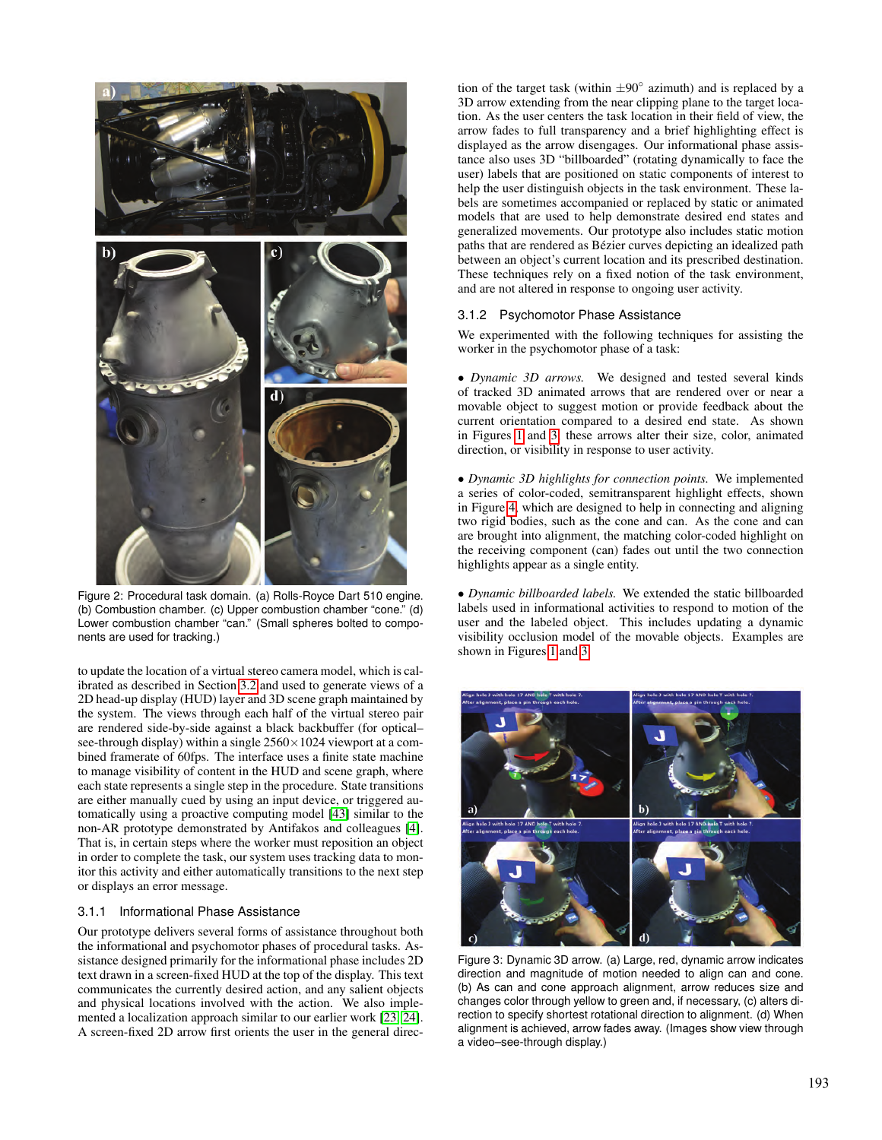

Figure 2: Procedural task domain. (a) Rolls-Royce Dart 510 engine. (b) Combustion chamber. (c) Upper combustion chamber "cone." (d) Lower combustion chamber "can." (Small spheres bolted to components are used for tracking.)

<span id="page-2-0"></span>to update the location of a virtual stereo camera model, which is calibrated as described in Section [3.2](#page-3-1) and used to generate views of a 2D head-up display (HUD) layer and 3D scene graph maintained by the system. The views through each half of the virtual stereo pair are rendered side-by-side against a black backbuffer (for optical– see-through display) within a single  $2560 \times 1024$  viewport at a combined framerate of 60fps. The interface uses a finite state machine to manage visibility of content in the HUD and scene graph, where each state represents a single step in the procedure. State transitions are either manually cued by using an input device, or triggered automatically using a proactive computing model [\[43\]](#page-9-38) similar to the non-AR prototype demonstrated by Antifakos and colleagues [\[4\]](#page-8-5). That is, in certain steps where the worker must reposition an object in order to complete the task, our system uses tracking data to monitor this activity and either automatically transitions to the next step or displays an error message.

## <span id="page-2-2"></span>3.1.1 Informational Phase Assistance

Our prototype delivers several forms of assistance throughout both the informational and psychomotor phases of procedural tasks. Assistance designed primarily for the informational phase includes 2D text drawn in a screen-fixed HUD at the top of the display. This text communicates the currently desired action, and any salient objects and physical locations involved with the action. We also implemented a localization approach similar to our earlier work [\[23,](#page-9-4) [24\]](#page-9-5). A screen-fixed 2D arrow first orients the user in the general direc-

tion of the target task (within  $\pm 90^\circ$  azimuth) and is replaced by a 3D arrow extending from the near clipping plane to the target location. As the user centers the task location in their field of view, the arrow fades to full transparency and a brief highlighting effect is displayed as the arrow disengages. Our informational phase assistance also uses 3D "billboarded" (rotating dynamically to face the user) labels that are positioned on static components of interest to help the user distinguish objects in the task environment. These labels are sometimes accompanied or replaced by static or animated models that are used to help demonstrate desired end states and generalized movements. Our prototype also includes static motion paths that are rendered as Bézier curves depicting an idealized path between an object's current location and its prescribed destination. These techniques rely on a fixed notion of the task environment, and are not altered in response to ongoing user activity.

#### <span id="page-2-3"></span>3.1.2 Psychomotor Phase Assistance

We experimented with the following techniques for assisting the worker in the psychomotor phase of a task:

• *Dynamic 3D arrows.* We designed and tested several kinds of tracked 3D animated arrows that are rendered over or near a movable object to suggest motion or provide feedback about the current orientation compared to a desired end state. As shown in Figures [1](#page-0-0) and [3,](#page-2-1) these arrows alter their size, color, animated direction, or visibility in response to user activity.

• *Dynamic 3D highlights for connection points.* We implemented a series of color-coded, semitransparent highlight effects, shown in Figure [4,](#page-3-2) which are designed to help in connecting and aligning two rigid bodies, such as the cone and can. As the cone and can are brought into alignment, the matching color-coded highlight on the receiving component (can) fades out until the two connection highlights appear as a single entity.

• *Dynamic billboarded labels.* We extended the static billboarded labels used in informational activities to respond to motion of the user and the labeled object. This includes updating a dynamic visibility occlusion model of the movable objects. Examples are shown in Figures [1](#page-0-0) and [3.](#page-2-1)



<span id="page-2-1"></span>Figure 3: Dynamic 3D arrow. (a) Large, red, dynamic arrow indicates direction and magnitude of motion needed to align can and cone. (b) As can and cone approach alignment, arrow reduces size and changes color through yellow to green and, if necessary, (c) alters direction to specify shortest rotational direction to alignment. (d) When alignment is achieved, arrow fades away. (Images show view through a video–see-through display.)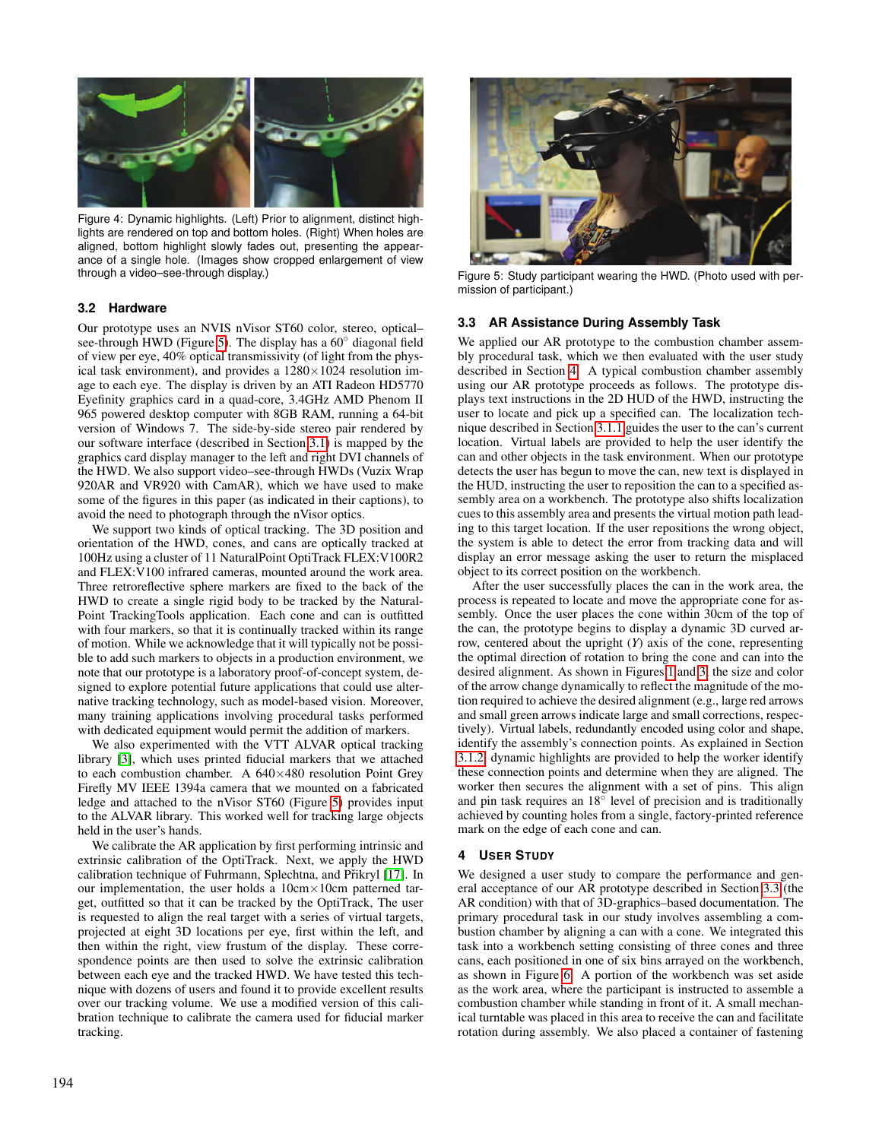

<span id="page-3-2"></span>Figure 4: Dynamic highlights. (Left) Prior to alignment, distinct highlights are rendered on top and bottom holes. (Right) When holes are aligned, bottom highlight slowly fades out, presenting the appearance of a single hole. (Images show cropped enlargement of view through a video–see-through display.)

## <span id="page-3-1"></span>**3.2 Hardware**

Our prototype uses an NVIS nVisor ST60 color, stereo, optical– see-through HWD (Figure [5\)](#page-3-3). The display has a 60◦ diagonal field of view per eye, 40% optical transmissivity (of light from the physical task environment), and provides a  $1280 \times 1024$  resolution image to each eye. The display is driven by an ATI Radeon HD5770 Eyefinity graphics card in a quad-core, 3.4GHz AMD Phenom II 965 powered desktop computer with 8GB RAM, running a 64-bit version of Windows 7. The side-by-side stereo pair rendered by our software interface (described in Section [3.1\)](#page-1-2) is mapped by the graphics card display manager to the left and right DVI channels of the HWD. We also support video–see-through HWDs (Vuzix Wrap 920AR and VR920 with CamAR), which we have used to make some of the figures in this paper (as indicated in their captions), to avoid the need to photograph through the nVisor optics.

We support two kinds of optical tracking. The 3D position and orientation of the HWD, cones, and cans are optically tracked at 100Hz using a cluster of 11 NaturalPoint OptiTrack FLEX:V100R2 and FLEX:V100 infrared cameras, mounted around the work area. Three retroreflective sphere markers are fixed to the back of the HWD to create a single rigid body to be tracked by the Natural-Point TrackingTools application. Each cone and can is outfitted with four markers, so that it is continually tracked within its range of motion. While we acknowledge that it will typically not be possible to add such markers to objects in a production environment, we note that our prototype is a laboratory proof-of-concept system, designed to explore potential future applications that could use alternative tracking technology, such as model-based vision. Moreover, many training applications involving procedural tasks performed with dedicated equipment would permit the addition of markers.

We also experimented with the VTT ALVAR optical tracking library [\[3\]](#page-8-6), which uses printed fiducial markers that we attached to each combustion chamber. A 640×480 resolution Point Grey Firefly MV IEEE 1394a camera that we mounted on a fabricated ledge and attached to the nVisor ST60 (Figure [5\)](#page-3-3) provides input to the ALVAR library. This worked well for tracking large objects held in the user's hands.

We calibrate the AR application by first performing intrinsic and extrinsic calibration of the OptiTrack. Next, we apply the HWD calibration technique of Fuhrmann, Splechtna, and Přikryl [\[17\]](#page-9-39). In our implementation, the user holds a  $10 \text{cm} \times 10 \text{cm}$  patterned target, outfitted so that it can be tracked by the OptiTrack, The user is requested to align the real target with a series of virtual targets, projected at eight 3D locations per eye, first within the left, and then within the right, view frustum of the display. These correspondence points are then used to solve the extrinsic calibration between each eye and the tracked HWD. We have tested this technique with dozens of users and found it to provide excellent results over our tracking volume. We use a modified version of this calibration technique to calibrate the camera used for fiducial marker tracking.



Figure 5: Study participant wearing the HWD. (Photo used with permission of participant.)

#### <span id="page-3-4"></span><span id="page-3-3"></span>**3.3 AR Assistance During Assembly Task**

We applied our AR prototype to the combustion chamber assembly procedural task, which we then evaluated with the user study described in Section [4.](#page-3-0) A typical combustion chamber assembly using our AR prototype proceeds as follows. The prototype displays text instructions in the 2D HUD of the HWD, instructing the user to locate and pick up a specified can. The localization technique described in Section [3.1.1](#page-2-2) guides the user to the can's current location. Virtual labels are provided to help the user identify the can and other objects in the task environment. When our prototype detects the user has begun to move the can, new text is displayed in the HUD, instructing the user to reposition the can to a specified assembly area on a workbench. The prototype also shifts localization cues to this assembly area and presents the virtual motion path leading to this target location. If the user repositions the wrong object, the system is able to detect the error from tracking data and will display an error message asking the user to return the misplaced object to its correct position on the workbench.

After the user successfully places the can in the work area, the process is repeated to locate and move the appropriate cone for assembly. Once the user places the cone within 30cm of the top of the can, the prototype begins to display a dynamic 3D curved arrow, centered about the upright (*Y*) axis of the cone, representing the optimal direction of rotation to bring the cone and can into the desired alignment. As shown in Figures [1](#page-0-0) and [3,](#page-2-1) the size and color of the arrow change dynamically to reflect the magnitude of the motion required to achieve the desired alignment (e.g., large red arrows and small green arrows indicate large and small corrections, respectively). Virtual labels, redundantly encoded using color and shape, identify the assembly's connection points. As explained in Section [3.1.2,](#page-2-3) dynamic highlights are provided to help the worker identify these connection points and determine when they are aligned. The worker then secures the alignment with a set of pins. This align and pin task requires an  $18^{\circ}$  level of precision and is traditionally achieved by counting holes from a single, factory-printed reference mark on the edge of each cone and can.

#### <span id="page-3-0"></span>**4 USER STUDY**

We designed a user study to compare the performance and general acceptance of our AR prototype described in Section [3.3](#page-3-4) (the AR condition) with that of 3D-graphics–based documentation. The primary procedural task in our study involves assembling a combustion chamber by aligning a can with a cone. We integrated this task into a workbench setting consisting of three cones and three cans, each positioned in one of six bins arrayed on the workbench, as shown in Figure [6.](#page-4-0) A portion of the workbench was set aside as the work area, where the participant is instructed to assemble a combustion chamber while standing in front of it. A small mechanical turntable was placed in this area to receive the can and facilitate rotation during assembly. We also placed a container of fastening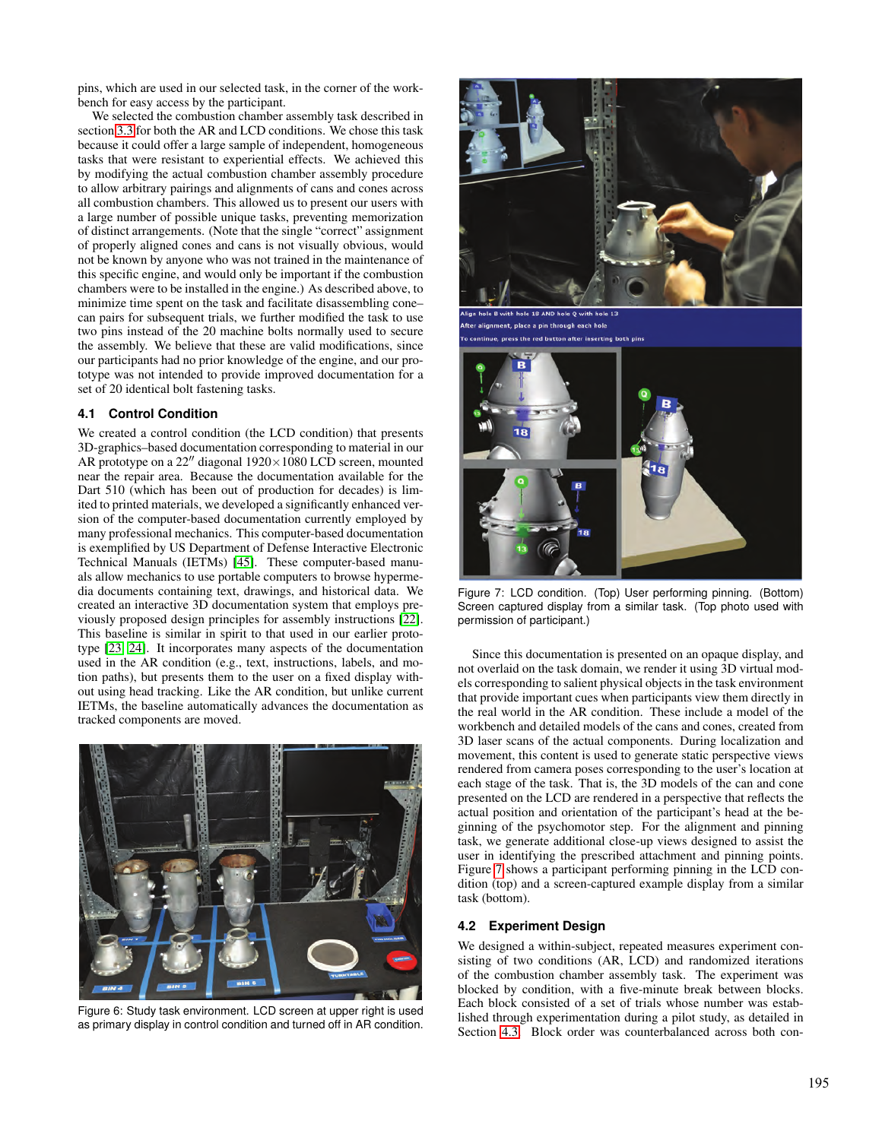pins, which are used in our selected task, in the corner of the workbench for easy access by the participant.

We selected the combustion chamber assembly task described in section [3.3](#page-3-4) for both the AR and LCD conditions. We chose this task because it could offer a large sample of independent, homogeneous tasks that were resistant to experiential effects. We achieved this by modifying the actual combustion chamber assembly procedure to allow arbitrary pairings and alignments of cans and cones across all combustion chambers. This allowed us to present our users with a large number of possible unique tasks, preventing memorization of distinct arrangements. (Note that the single "correct" assignment of properly aligned cones and cans is not visually obvious, would not be known by anyone who was not trained in the maintenance of this specific engine, and would only be important if the combustion chambers were to be installed in the engine.) As described above, to minimize time spent on the task and facilitate disassembling cone– can pairs for subsequent trials, we further modified the task to use two pins instead of the 20 machine bolts normally used to secure the assembly. We believe that these are valid modifications, since our participants had no prior knowledge of the engine, and our prototype was not intended to provide improved documentation for a set of 20 identical bolt fastening tasks.

#### **4.1 Control Condition**

We created a control condition (the LCD condition) that presents 3D-graphics–based documentation corresponding to material in our AR prototype on a 22" diagonal  $1920 \times 1080$  LCD screen, mounted near the repair area. Because the documentation available for the Dart 510 (which has been out of production for decades) is limited to printed materials, we developed a significantly enhanced version of the computer-based documentation currently employed by many professional mechanics. This computer-based documentation is exemplified by US Department of Defense Interactive Electronic Technical Manuals (IETMs) [\[45\]](#page-9-40). These computer-based manuals allow mechanics to use portable computers to browse hypermedia documents containing text, drawings, and historical data. We created an interactive 3D documentation system that employs previously proposed design principles for assembly instructions [\[22\]](#page-9-10). This baseline is similar in spirit to that used in our earlier prototype [\[23,](#page-9-4) [24\]](#page-9-5). It incorporates many aspects of the documentation used in the AR condition (e.g., text, instructions, labels, and motion paths), but presents them to the user on a fixed display without using head tracking. Like the AR condition, but unlike current IETMs, the baseline automatically advances the documentation as tracked components are moved.

<span id="page-4-0"></span>

Figure 6: Study task environment. LCD screen at upper right is used as primary display in control condition and turned off in AR condition.



with hole 18 AND hole O with hole  $13$ nt, place a pin through each hole



Figure 7: LCD condition. (Top) User performing pinning. (Bottom) Screen captured display from a similar task. (Top photo used with permission of participant.)

<span id="page-4-1"></span>Since this documentation is presented on an opaque display, and not overlaid on the task domain, we render it using 3D virtual models corresponding to salient physical objects in the task environment that provide important cues when participants view them directly in the real world in the AR condition. These include a model of the workbench and detailed models of the cans and cones, created from 3D laser scans of the actual components. During localization and movement, this content is used to generate static perspective views rendered from camera poses corresponding to the user's location at each stage of the task. That is, the 3D models of the can and cone presented on the LCD are rendered in a perspective that reflects the actual position and orientation of the participant's head at the beginning of the psychomotor step. For the alignment and pinning task, we generate additional close-up views designed to assist the user in identifying the prescribed attachment and pinning points. Figure [7](#page-4-1) shows a participant performing pinning in the LCD condition (top) and a screen-captured example display from a similar task (bottom).

## <span id="page-4-2"></span>**4.2 Experiment Design**

We designed a within-subject, repeated measures experiment consisting of two conditions (AR, LCD) and randomized iterations of the combustion chamber assembly task. The experiment was blocked by condition, with a five-minute break between blocks. Each block consisted of a set of trials whose number was established through experimentation during a pilot study, as detailed in Section [4.3.](#page-5-0) Block order was counterbalanced across both con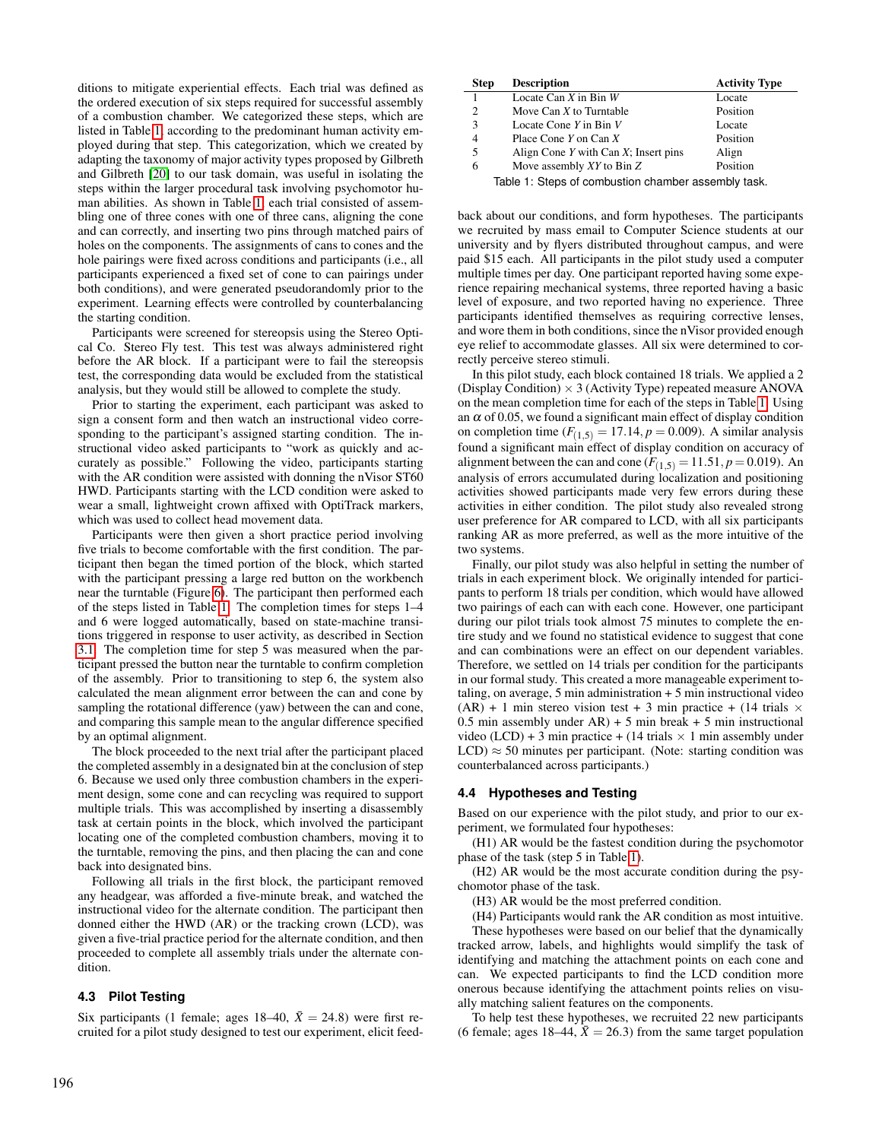ditions to mitigate experiential effects. Each trial was defined as the ordered execution of six steps required for successful assembly of a combustion chamber. We categorized these steps, which are listed in Table [1,](#page-5-1) according to the predominant human activity employed during that step. This categorization, which we created by adapting the taxonomy of major activity types proposed by Gilbreth and Gilbreth [\[20\]](#page-9-41) to our task domain, was useful in isolating the steps within the larger procedural task involving psychomotor human abilities. As shown in Table [1,](#page-5-1) each trial consisted of assembling one of three cones with one of three cans, aligning the cone and can correctly, and inserting two pins through matched pairs of holes on the components. The assignments of cans to cones and the hole pairings were fixed across conditions and participants (i.e., all participants experienced a fixed set of cone to can pairings under both conditions), and were generated pseudorandomly prior to the experiment. Learning effects were controlled by counterbalancing the starting condition.

Participants were screened for stereopsis using the Stereo Optical Co. Stereo Fly test. This test was always administered right before the AR block. If a participant were to fail the stereopsis test, the corresponding data would be excluded from the statistical analysis, but they would still be allowed to complete the study.

Prior to starting the experiment, each participant was asked to sign a consent form and then watch an instructional video corresponding to the participant's assigned starting condition. The instructional video asked participants to "work as quickly and accurately as possible." Following the video, participants starting with the AR condition were assisted with donning the nVisor ST60 HWD. Participants starting with the LCD condition were asked to wear a small, lightweight crown affixed with OptiTrack markers, which was used to collect head movement data.

Participants were then given a short practice period involving five trials to become comfortable with the first condition. The participant then began the timed portion of the block, which started with the participant pressing a large red button on the workbench near the turntable (Figure [6\)](#page-4-0). The participant then performed each of the steps listed in Table [1.](#page-5-1) The completion times for steps 1–4 and 6 were logged automatically, based on state-machine transitions triggered in response to user activity, as described in Section [3.1.](#page-1-2) The completion time for step 5 was measured when the participant pressed the button near the turntable to confirm completion of the assembly. Prior to transitioning to step 6, the system also calculated the mean alignment error between the can and cone by sampling the rotational difference (yaw) between the can and cone, and comparing this sample mean to the angular difference specified by an optimal alignment.

The block proceeded to the next trial after the participant placed the completed assembly in a designated bin at the conclusion of step 6. Because we used only three combustion chambers in the experiment design, some cone and can recycling was required to support multiple trials. This was accomplished by inserting a disassembly task at certain points in the block, which involved the participant locating one of the completed combustion chambers, moving it to the turntable, removing the pins, and then placing the can and cone back into designated bins.

Following all trials in the first block, the participant removed any headgear, was afforded a five-minute break, and watched the instructional video for the alternate condition. The participant then donned either the HWD (AR) or the tracking crown (LCD), was given a five-trial practice period for the alternate condition, and then proceeded to complete all assembly trials under the alternate condition.

## <span id="page-5-0"></span>**4.3 Pilot Testing**

Six participants (1 female; ages  $18-40$ ,  $\bar{X} = 24.8$ ) were first recruited for a pilot study designed to test our experiment, elicit feed-

| <b>Step</b> | <b>Description</b>                                  | <b>Activity Type</b> |  |
|-------------|-----------------------------------------------------|----------------------|--|
| 1           | Locate Can $X$ in Bin $W$                           | Locate               |  |
| 2           | Move Can $X$ to Turntable                           | Position             |  |
| 3           | Locate Cone $Y$ in Bin $V$                          | Locate               |  |
| 4           | Place Cone Y on Can $X$                             | Position             |  |
| 5           | Align Cone $Y$ with Can $X$ ; Insert pins           | Align                |  |
| 6           | Move assembly $XY$ to Bin Z                         | Position             |  |
|             | Table 1: Steps of combustion chamber assembly task. |                      |  |

<span id="page-5-1"></span>back about our conditions, and form hypotheses. The participants we recruited by mass email to Computer Science students at our university and by flyers distributed throughout campus, and were paid \$15 each. All participants in the pilot study used a computer multiple times per day. One participant reported having some experience repairing mechanical systems, three reported having a basic level of exposure, and two reported having no experience. Three participants identified themselves as requiring corrective lenses, and wore them in both conditions, since the nVisor provided enough eye relief to accommodate glasses. All six were determined to correctly perceive stereo stimuli.

In this pilot study, each block contained 18 trials. We applied a 2 (Display Condition)  $\times$  3 (Activity Type) repeated measure ANOVA on the mean completion time for each of the steps in Table [1.](#page-5-1) Using an  $\alpha$  of 0.05, we found a significant main effect of display condition on completion time  $(F_{(1,5)} = 17.14, p = 0.009)$ . A similar analysis found a significant main effect of display condition on accuracy of alignment between the can and cone  $(F_{(1,5)} = 11.51, p = 0.019)$ . An analysis of errors accumulated during localization and positioning activities showed participants made very few errors during these activities in either condition. The pilot study also revealed strong user preference for AR compared to LCD, with all six participants ranking AR as more preferred, as well as the more intuitive of the two systems.

Finally, our pilot study was also helpful in setting the number of trials in each experiment block. We originally intended for participants to perform 18 trials per condition, which would have allowed two pairings of each can with each cone. However, one participant during our pilot trials took almost 75 minutes to complete the entire study and we found no statistical evidence to suggest that cone and can combinations were an effect on our dependent variables. Therefore, we settled on 14 trials per condition for the participants in our formal study. This created a more manageable experiment totaling, on average,  $5 \text{ min}$  administration  $+ 5 \text{ min}$  instructional video  $(AR) + 1$  min stereo vision test + 3 min practice + (14 trials  $\times$ 0.5 min assembly under  $AR$ ) + 5 min break + 5 min instructional video (LCD) + 3 min practice + (14 trials  $\times$  1 min assembly under  $LCD$ )  $\approx$  50 minutes per participant. (Note: starting condition was counterbalanced across participants.)

#### **4.4 Hypotheses and Testing**

Based on our experience with the pilot study, and prior to our experiment, we formulated four hypotheses:

(H1) AR would be the fastest condition during the psychomotor phase of the task (step 5 in Table [1\)](#page-5-1).

(H2) AR would be the most accurate condition during the psychomotor phase of the task.

(H3) AR would be the most preferred condition.

(H4) Participants would rank the AR condition as most intuitive. These hypotheses were based on our belief that the dynamically tracked arrow, labels, and highlights would simplify the task of identifying and matching the attachment points on each cone and can. We expected participants to find the LCD condition more onerous because identifying the attachment points relies on visu-

ally matching salient features on the components. To help test these hypotheses, we recruited 22 new participants

(6 female; ages 18–44,  $X = 26.3$ ) from the same target population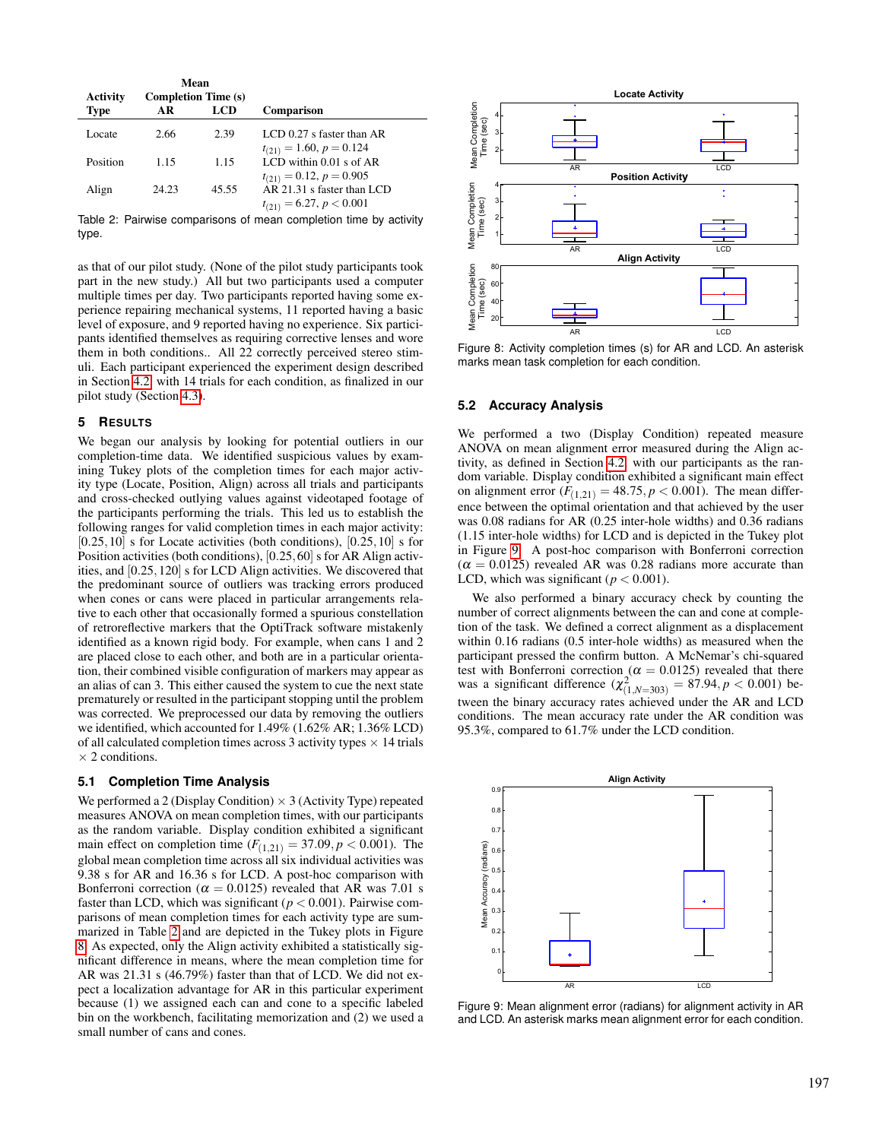| Mean<br><b>Completion Time (s)</b><br><b>Activity</b> |       |       |                                                            |
|-------------------------------------------------------|-------|-------|------------------------------------------------------------|
| <b>Type</b>                                           | AR    | LCD.  | Comparison                                                 |
| Locate                                                | 2.66  | 2.39  | LCD $0.27$ s faster than AR                                |
| Position                                              | 1.15  | 1.15  | $t_{(21)} = 1.60, p = 0.124$<br>LCD within $0.01$ s of AR  |
| Align                                                 | 24.23 | 45.55 | $t_{(21)} = 0.12, p = 0.905$<br>AR 21.31 s faster than LCD |
|                                                       |       |       | $t_{(21)} = 6.27, p < 0.001$                               |

<span id="page-6-1"></span>Table 2: Pairwise comparisons of mean completion time by activity type.

as that of our pilot study. (None of the pilot study participants took part in the new study.) All but two participants used a computer multiple times per day. Two participants reported having some experience repairing mechanical systems, 11 reported having a basic level of exposure, and 9 reported having no experience. Six participants identified themselves as requiring corrective lenses and wore them in both conditions.. All 22 correctly perceived stereo stimuli. Each participant experienced the experiment design described in Section [4.2,](#page-4-2) with 14 trials for each condition, as finalized in our pilot study (Section [4.3\)](#page-5-0).

#### <span id="page-6-0"></span>**5 RESULTS**

We began our analysis by looking for potential outliers in our completion-time data. We identified suspicious values by examining Tukey plots of the completion times for each major activity type (Locate, Position, Align) across all trials and participants and cross-checked outlying values against videotaped footage of the participants performing the trials. This led us to establish the following ranges for valid completion times in each major activity:  $[0.25, 10]$  s for Locate activities (both conditions),  $[0.25, 10]$  s for Position activities (both conditions), [0.25, 60] s for AR Align activities, and [0.25,120] s for LCD Align activities. We discovered that the predominant source of outliers was tracking errors produced when cones or cans were placed in particular arrangements relative to each other that occasionally formed a spurious constellation of retroreflective markers that the OptiTrack software mistakenly identified as a known rigid body. For example, when cans 1 and 2 are placed close to each other, and both are in a particular orientation, their combined visible configuration of markers may appear as an alias of can 3. This either caused the system to cue the next state prematurely or resulted in the participant stopping until the problem was corrected. We preprocessed our data by removing the outliers we identified, which accounted for 1.49% (1.62% AR; 1.36% LCD) of all calculated completion times across 3 activity types  $\times$  14 trials  $\times$  2 conditions.

#### **5.1 Completion Time Analysis**

We performed a 2 (Display Condition)  $\times$  3 (Activity Type) repeated measures ANOVA on mean completion times, with our participants as the random variable. Display condition exhibited a significant main effect on completion time  $(F_{(1,21)} = 37.09, p < 0.001)$ . The global mean completion time across all six individual activities was 9.38 s for AR and 16.36 s for LCD. A post-hoc comparison with Bonferroni correction ( $\alpha = 0.0125$ ) revealed that AR was 7.01 s faster than LCD, which was significant ( $p < 0.001$ ). Pairwise comparisons of mean completion times for each activity type are summarized in Table [2](#page-6-1) and are depicted in the Tukey plots in Figure [8.](#page-6-2) As expected, only the Align activity exhibited a statistically significant difference in means, where the mean completion time for AR was 21.31 s (46.79%) faster than that of LCD. We did not expect a localization advantage for AR in this particular experiment because (1) we assigned each can and cone to a specific labeled bin on the workbench, facilitating memorization and (2) we used a small number of cans and cones.



<span id="page-6-2"></span>Figure 8: Activity completion times (s) for AR and LCD. An asterisk marks mean task completion for each condition.

#### **5.2 Accuracy Analysis**

We performed a two (Display Condition) repeated measure ANOVA on mean alignment error measured during the Align activity, as defined in Section [4.2,](#page-4-2) with our participants as the random variable. Display condition exhibited a significant main effect on alignment error  $(F_{(1,21)} = 48.75, p < 0.001)$ . The mean difference between the optimal orientation and that achieved by the user was 0.08 radians for AR (0.25 inter-hole widths) and 0.36 radians (1.15 inter-hole widths) for LCD and is depicted in the Tukey plot in Figure [9.](#page-6-3) A post-hoc comparison with Bonferroni correction  $(\alpha = 0.0125)$  revealed AR was 0.28 radians more accurate than LCD, which was significant ( $p < 0.001$ ).

We also performed a binary accuracy check by counting the number of correct alignments between the can and cone at completion of the task. We defined a correct alignment as a displacement within 0.16 radians (0.5 inter-hole widths) as measured when the participant pressed the confirm button. A McNemar's chi-squared test with Bonferroni correction ( $\alpha = 0.0125$ ) revealed that there was a significant difference  $(\chi^2_{(1,N=303)} = 87.94, p < 0.001)$  between the binary accuracy rates achieved under the AR and LCD conditions. The mean accuracy rate under the AR condition was 95.3%, compared to 61.7% under the LCD condition.



<span id="page-6-3"></span>Figure 9: Mean alignment error (radians) for alignment activity in AR and LCD. An asterisk marks mean alignment error for each condition.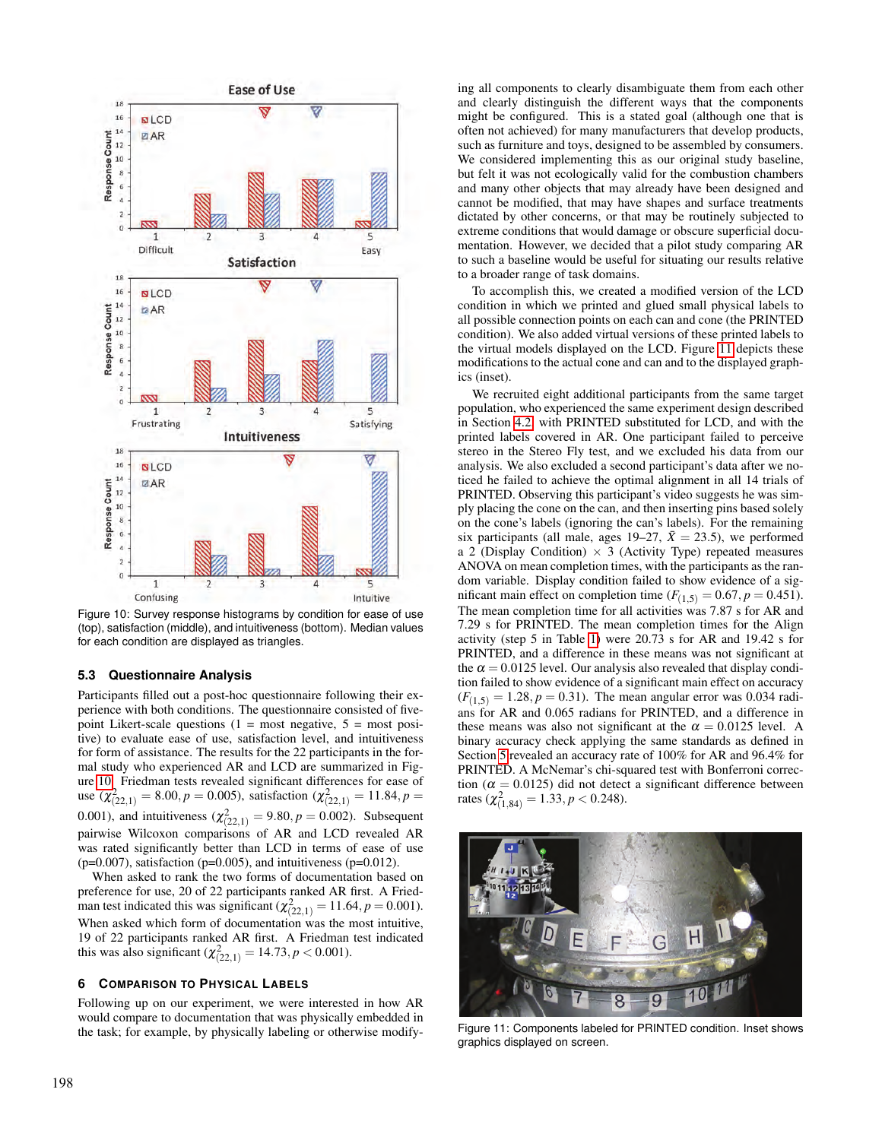

<span id="page-7-1"></span>Figure 10: Survey response histograms by condition for ease of use (top), satisfaction (middle), and intuitiveness (bottom). Median values for each condition are displayed as triangles.

#### **5.3 Questionnaire Analysis**

Participants filled out a post-hoc questionnaire following their experience with both conditions. The questionnaire consisted of fivepoint Likert-scale questions  $(1 = \text{most negative}, 5 = \text{most positive})$ tive) to evaluate ease of use, satisfaction level, and intuitiveness for form of assistance. The results for the 22 participants in the formal study who experienced AR and LCD are summarized in Figure [10.](#page-7-1) Friedman tests revealed significant differences for ease of use  $(\chi^2_{(22,1)} = 8.00, p = 0.005)$ , satisfaction  $(\chi^2_{(22,1)} = 11.84, p =$ 0.001), and intuitiveness  $(\chi^2_{(2,1)} = 9.80, p = 0.002)$ . Subsequent pairwise Wilcoxon comparisons of AR and LCD revealed AR was rated significantly better than LCD in terms of ease of use  $(p=0.007)$ , satisfaction  $(p=0.005)$ , and intuitiveness  $(p=0.012)$ .

When asked to rank the two forms of documentation based on preference for use, 20 of 22 participants ranked AR first. A Friedman test indicated this was significant ( $\chi^2_{(22,1)} = 11.64, p = 0.001$ ). When asked which form of documentation was the most intuitive, 19 of 22 participants ranked AR first. A Friedman test indicated this was also significant  $(\chi^2_{(22,1)} = 14.73, p < 0.001)$ .

#### <span id="page-7-0"></span>**6 COMPARISON TO PHYSICAL LABELS**

Following up on our experiment, we were interested in how AR would compare to documentation that was physically embedded in the task; for example, by physically labeling or otherwise modifying all components to clearly disambiguate them from each other and clearly distinguish the different ways that the components might be configured. This is a stated goal (although one that is often not achieved) for many manufacturers that develop products, such as furniture and toys, designed to be assembled by consumers. We considered implementing this as our original study baseline, but felt it was not ecologically valid for the combustion chambers and many other objects that may already have been designed and cannot be modified, that may have shapes and surface treatments dictated by other concerns, or that may be routinely subjected to extreme conditions that would damage or obscure superficial documentation. However, we decided that a pilot study comparing AR to such a baseline would be useful for situating our results relative to a broader range of task domains.

To accomplish this, we created a modified version of the LCD condition in which we printed and glued small physical labels to all possible connection points on each can and cone (the PRINTED condition). We also added virtual versions of these printed labels to the virtual models displayed on the LCD. Figure [11](#page-7-2) depicts these modifications to the actual cone and can and to the displayed graphics (inset).

We recruited eight additional participants from the same target population, who experienced the same experiment design described in Section [4.2,](#page-4-2) with PRINTED substituted for LCD, and with the printed labels covered in AR. One participant failed to perceive stereo in the Stereo Fly test, and we excluded his data from our analysis. We also excluded a second participant's data after we noticed he failed to achieve the optimal alignment in all 14 trials of PRINTED. Observing this participant's video suggests he was simply placing the cone on the can, and then inserting pins based solely on the cone's labels (ignoring the can's labels). For the remaining six participants (all male, ages 19–27,  $\bar{X} = 23.5$ ), we performed a 2 (Display Condition)  $\times$  3 (Activity Type) repeated measures ANOVA on mean completion times, with the participants as the random variable. Display condition failed to show evidence of a significant main effect on completion time  $(F_{(1,5)} = 0.67, p = 0.451)$ . The mean completion time for all activities was 7.87 s for AR and 7.29 s for PRINTED. The mean completion times for the Align activity (step 5 in Table [1\)](#page-5-1) were 20.73 s for AR and 19.42 s for PRINTED, and a difference in these means was not significant at the  $\alpha = 0.0125$  level. Our analysis also revealed that display condition failed to show evidence of a significant main effect on accuracy  $(F_{(1,5)} = 1.28, p = 0.31)$ . The mean angular error was 0.034 radians for AR and 0.065 radians for PRINTED, and a difference in these means was also not significant at the  $\alpha = 0.0125$  level. A binary accuracy check applying the same standards as defined in Section [5](#page-6-0) revealed an accuracy rate of 100% for AR and 96.4% for PRINTED. A McNemar's chi-squared test with Bonferroni correction ( $\alpha = 0.0125$ ) did not detect a significant difference between rates  $(\chi^2_{(1,84)} = 1.33, p < 0.248)$ .

<span id="page-7-2"></span>

Figure 11: Components labeled for PRINTED condition. Inset shows graphics displayed on screen.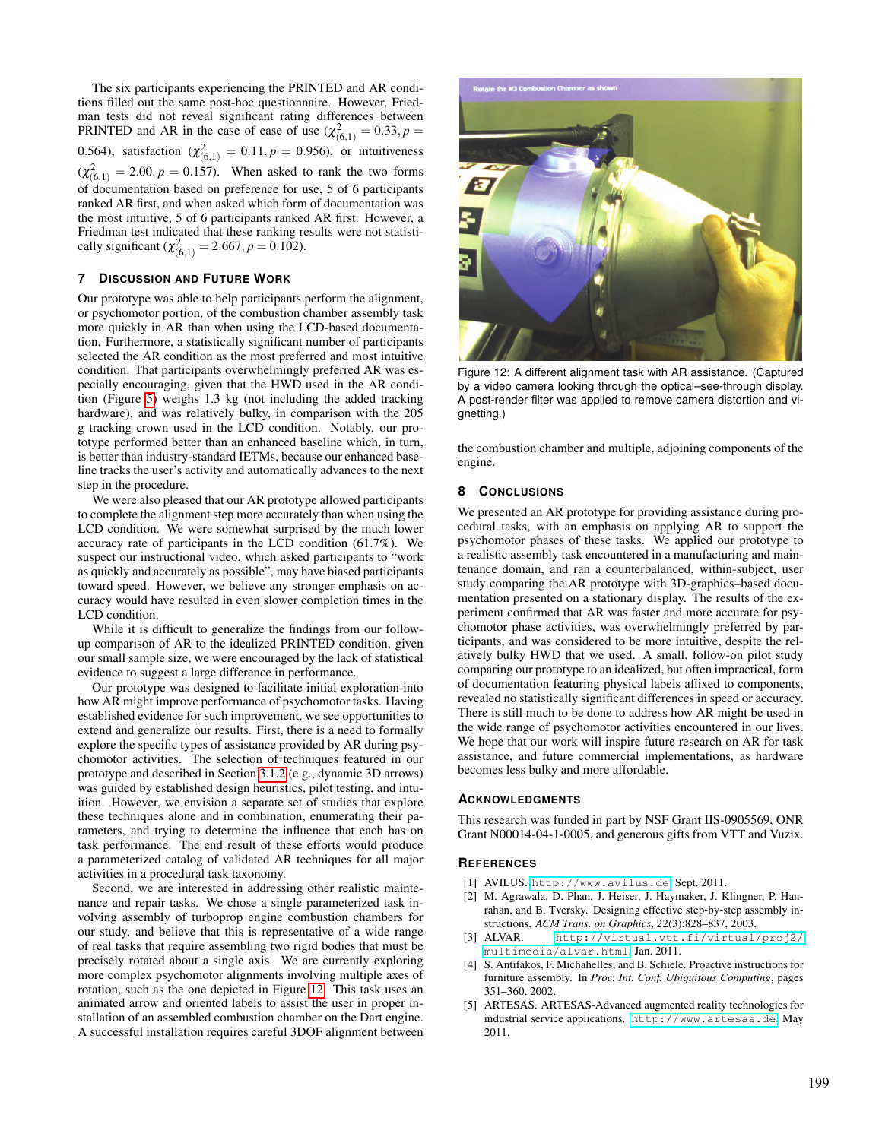The six participants experiencing the PRINTED and AR conditions filled out the same post-hoc questionnaire. However, Friedman tests did not reveal significant rating differences between PRINTED and AR in the case of ease of use  $(\chi^2_{(6,1)} = 0.33, p =$ 0.564), satisfaction  $(\chi^2_{(6,1)} = 0.11, p = 0.956)$ , or intuitiveness  $(\chi^2_{(6,1)} = 2.00, p = 0.157)$ . When asked to rank the two forms of documentation based on preference for use, 5 of 6 participants ranked AR first, and when asked which form of documentation was the most intuitive, 5 of 6 participants ranked AR first. However, a Friedman test indicated that these ranking results were not statistically significant ( $\chi^2_{(6,1)} = 2.667, p = 0.102$ ).

## <span id="page-8-0"></span>**7 DISCUSSION AND FUTURE WORK**

Our prototype was able to help participants perform the alignment, or psychomotor portion, of the combustion chamber assembly task more quickly in AR than when using the LCD-based documentation. Furthermore, a statistically significant number of participants selected the AR condition as the most preferred and most intuitive condition. That participants overwhelmingly preferred AR was especially encouraging, given that the HWD used in the AR condition (Figure [5\)](#page-3-3) weighs 1.3 kg (not including the added tracking hardware), and was relatively bulky, in comparison with the 205 g tracking crown used in the LCD condition. Notably, our prototype performed better than an enhanced baseline which, in turn, is better than industry-standard IETMs, because our enhanced baseline tracks the user's activity and automatically advances to the next step in the procedure.

We were also pleased that our AR prototype allowed participants to complete the alignment step more accurately than when using the LCD condition. We were somewhat surprised by the much lower accuracy rate of participants in the LCD condition (61.7%). We suspect our instructional video, which asked participants to "work as quickly and accurately as possible", may have biased participants toward speed. However, we believe any stronger emphasis on accuracy would have resulted in even slower completion times in the LCD condition.

While it is difficult to generalize the findings from our followup comparison of AR to the idealized PRINTED condition, given our small sample size, we were encouraged by the lack of statistical evidence to suggest a large difference in performance.

Our prototype was designed to facilitate initial exploration into how AR might improve performance of psychomotor tasks. Having established evidence for such improvement, we see opportunities to extend and generalize our results. First, there is a need to formally explore the specific types of assistance provided by AR during psychomotor activities. The selection of techniques featured in our prototype and described in Section [3.1.2](#page-2-3) (e.g., dynamic 3D arrows) was guided by established design heuristics, pilot testing, and intuition. However, we envision a separate set of studies that explore these techniques alone and in combination, enumerating their parameters, and trying to determine the influence that each has on task performance. The end result of these efforts would produce a parameterized catalog of validated AR techniques for all major activities in a procedural task taxonomy.

Second, we are interested in addressing other realistic maintenance and repair tasks. We chose a single parameterized task involving assembly of turboprop engine combustion chambers for our study, and believe that this is representative of a wide range of real tasks that require assembling two rigid bodies that must be precisely rotated about a single axis. We are currently exploring more complex psychomotor alignments involving multiple axes of rotation, such as the one depicted in Figure [12.](#page-8-7) This task uses an animated arrow and oriented labels to assist the user in proper installation of an assembled combustion chamber on the Dart engine. A successful installation requires careful 3DOF alignment between



Figure 12: A different alignment task with AR assistance. (Captured by a video camera looking through the optical–see-through display. A post-render filter was applied to remove camera distortion and vignetting.)

<span id="page-8-7"></span>the combustion chamber and multiple, adjoining components of the engine.

## <span id="page-8-1"></span>**8 CONCLUSIONS**

We presented an AR prototype for providing assistance during procedural tasks, with an emphasis on applying AR to support the psychomotor phases of these tasks. We applied our prototype to a realistic assembly task encountered in a manufacturing and maintenance domain, and ran a counterbalanced, within-subject, user study comparing the AR prototype with 3D-graphics–based documentation presented on a stationary display. The results of the experiment confirmed that AR was faster and more accurate for psychomotor phase activities, was overwhelmingly preferred by participants, and was considered to be more intuitive, despite the relatively bulky HWD that we used. A small, follow-on pilot study comparing our prototype to an idealized, but often impractical, form of documentation featuring physical labels affixed to components, revealed no statistically significant differences in speed or accuracy. There is still much to be done to address how AR might be used in the wide range of psychomotor activities encountered in our lives. We hope that our work will inspire future research on AR for task assistance, and future commercial implementations, as hardware becomes less bulky and more affordable.

#### **ACKNOWLEDGMENTS**

This research was funded in part by NSF Grant IIS-0905569, ONR Grant N00014-04-1-0005, and generous gifts from VTT and Vuzix.

## **REFERENCES**

- <span id="page-8-4"></span>[1] AVILUS. <http://www.avilus.de>, Sept. 2011.
- <span id="page-8-2"></span>[2] M. Agrawala, D. Phan, J. Heiser, J. Haymaker, J. Klingner, P. Hanrahan, and B. Tversky. Designing effective step-by-step assembly instructions. *ACM Trans. on Graphics*, 22(3):828–837, 2003.
- <span id="page-8-6"></span>[3] ALVAR. [http://virtual.vtt.fi/virtual/proj2/](http://virtual.vtt.fi/virtual/proj2/multimedia/alvar.html) [multimedia/alvar.html](http://virtual.vtt.fi/virtual/proj2/multimedia/alvar.html), Jan. 2011.
- <span id="page-8-5"></span>[4] S. Antifakos, F. Michahelles, and B. Schiele. Proactive instructions for furniture assembly. In *Proc. Int. Conf. Ubiquitous Computing*, pages 351–360, 2002.
- <span id="page-8-3"></span>[5] ARTESAS. ARTESAS-Advanced augmented reality technologies for industrial service applications. <http://www.artesas.de>, May 2011.